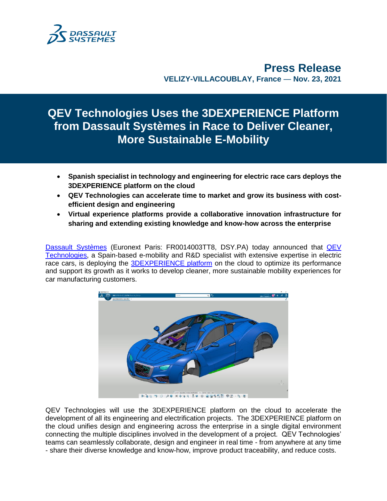

**Press Release VELIZY-VILLACOUBLAY, France** — **Nov. 23, 2021**

# **QEV Technologies Uses the 3DEXPERIENCE Platform from Dassault Systèmes in Race to Deliver Cleaner, More Sustainable E-Mobility**

- **Spanish specialist in technology and engineering for electric race cars deploys the 3DEXPERIENCE platform on the cloud**
- **QEV Technologies can accelerate time to market and grow its business with costefficient design and engineering**
- **Virtual experience platforms provide a collaborative innovation infrastructure for sharing and extending existing knowledge and know-how across the enterprise**

[Dassault Systèmes](http://www.3ds.com/) (Euronext Paris: FR0014003TT8, DSY.PA) today announced that [QEV](https://www.qevtech.com/)  [Technologies,](https://www.qevtech.com/) a Spain-based e-mobility and R&D specialist with extensive expertise in electric race cars, is deploying the [3DEXPERIENCE platform](https://www.3ds.com/3dexperience/cloud) on the cloud to optimize its performance and support its growth as it works to develop cleaner, more sustainable mobility experiences for car manufacturing customers.



 $*$ **an-p-0-20-x499-30-0-20555-00-**

QEV Technologies will use the 3DEXPERIENCE platform on the cloud to accelerate the development of all its engineering and electrification projects. The 3DEXPERIENCE platform on the cloud unifies design and engineering across the enterprise in a single digital environment connecting the multiple disciplines involved in the development of a project. QEV Technologies' teams can seamlessly collaborate, design and engineer in real time - from anywhere at any time - share their diverse knowledge and know-how, improve product traceability, and reduce costs.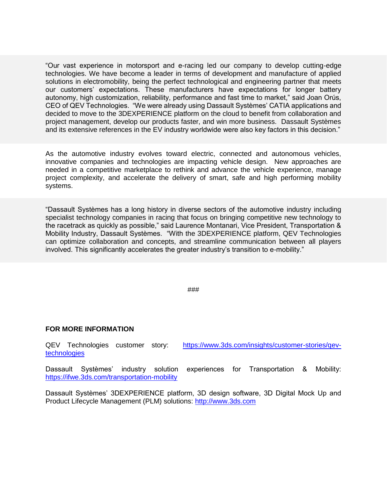"Our vast experience in motorsport and e-racing led our company to develop cutting-edge technologies. We have become a leader in terms of development and manufacture of applied solutions in electromobility, being the perfect technological and engineering partner that meets our customers' expectations. These manufacturers have expectations for longer battery autonomy, high customization, reliability, performance and fast time to market," said Joan Orús, CEO of QEV Technologies. "We were already using Dassault Systèmes' CATIA applications and decided to move to the 3DEXPERIENCE platform on the cloud to benefit from collaboration and project management, develop our products faster, and win more business. Dassault Systèmes and its extensive references in the EV industry worldwide were also key factors in this decision."

As the automotive industry evolves toward electric, connected and autonomous vehicles, innovative companies and technologies are impacting vehicle design. New approaches are needed in a competitive marketplace to rethink and advance the vehicle experience, manage project complexity, and accelerate the delivery of smart, safe and high performing mobility systems.

"Dassault Systèmes has a long history in diverse sectors of the automotive industry including specialist technology companies in racing that focus on bringing competitive new technology to the racetrack as quickly as possible," said Laurence Montanari, Vice President, Transportation & Mobility Industry, Dassault Systèmes. "With the 3DEXPERIENCE platform, QEV Technologies can optimize collaboration and concepts, and streamline communication between all players involved. This significantly accelerates the greater industry's transition to e-mobility."

###

### **FOR MORE INFORMATION**

QEV Technologies customer story: [https://www.3ds.com/insights/customer-stories/qev](https://www.3ds.com/insights/customer-stories/qev-technologies)[technologies](https://www.3ds.com/insights/customer-stories/qev-technologies)

Dassault Systèmes' industry solution experiences for Transportation & Mobility: <https://ifwe.3ds.com/transportation-mobility>

Dassault Systèmes' 3DEXPERIENCE platform, 3D design software, 3D Digital Mock Up and Product Lifecycle Management (PLM) solutions: [http://www.3ds.com](http://www.3ds.com/)